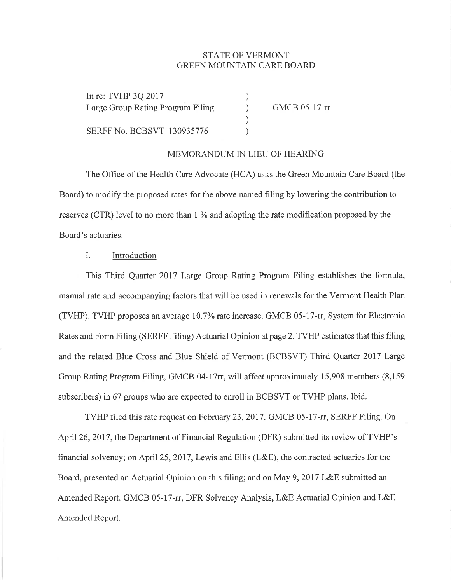# STATE OF VERMONT GREEN MOLINTAIN CARE BOARD

) ) ) )

In re: TVHP 3Q 2017 Large Group Rating Program Filing

SERFF No. BCBSYT 130935776

GMCB 05-17-rr

#### MEMORANDUM IN LIEU OF HEARING

The Office of the Health Care Advocate (HCA) asks the Green Mountain Care Board (the Board) to modify the proposed rates for the above named filing by lowering the contribution to reserves (CTR) level to no more than 1 % and adopting the rate modification proposed by the Board's actuaries.

## I. Introduction

This Third Quarter 2017 Larye Group Rating Program Filing establishes the formula, manual rate and accompanying factors that will be used in renewals for the Vermont Health Plan (TVHP). TVHP proposes an average 10.7% rate increase. GMCB 05-17-rc, System for Electronic Rates and Form Filing (SERFF Filing) Actuarial Opinion at page 2. TVHP estimates that this filing and the related Blue Cross and Blue Shield of Vermont (BCBSVT) Third Quarter 2017 Large Group Rating Program Filing, GMCB 04-17rr, will affect approximately 15,908 members (8,159) subscribers) in 67 groups who are expected to enroll in BCBSVT or TVHP plans. Ibid.

TVHP filed this rate request on February 23,2017. GMCB 05-17-rc, SERFF Filing. On April26,20l7, the Department of Financial Regulation (DFR) submitted its review of TVHP's financial solvency; on April 25,2017, Lewis and Ellis (L&E), the contracted actuaries for the Board, presented an Actuarial Opinion on this filing; and on May 9, 2017 L&E submitted an Amended Report. GMCB 05-17-rr, DFR Solvency Analysis, L&E Actuarial Opinion and L&E Amended Report.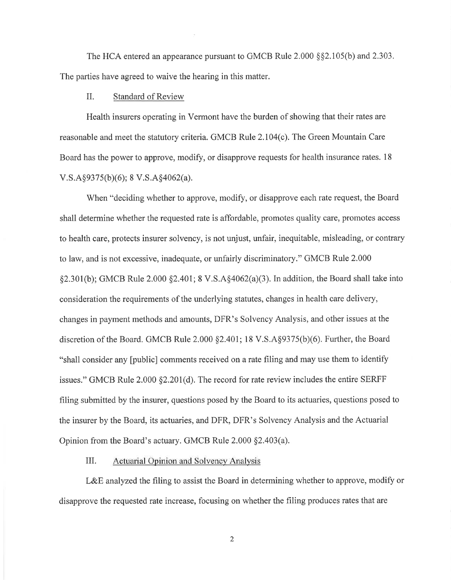The HCA entered an appearance pursuant to GMCB Rule  $2.000 \text{ s}\$ \$2.105(b) and  $2.303$ . The parties have agreed to waive the hearing in this matter.

#### II. Standard of Review

Health insurers operating in Vermont have the burden of showing that their rates are reasonable and meet the statutory criteria. GMCB Rule 2.104(c), The Green Mountain Care Board has the power to approve, modify, or disapprove requests for health insurance rates. 18  $V.S.A§9375(b)(6); 8 V.S.A§4062(a).$ 

When "deciding whether to approve, modify, or disapprove each rate request, the Board shall determine whether the requested rate is affordable, promotes quality care, promotes access to health care, protects insurer solvency, is not unjust, unfair, inequitable, misleading, or contrary to law, and is not excessive, inadequate, or unfairly discriminatory." GMCB Rule 2.000  $\S2.301(b)$ ; GMCB Rule 2.000  $\S2.401$ ; 8 V.S.A $\S4062(a)(3)$ . In addition, the Board shall take into consideration the requirements of the underlying statutes, changes in health care delivery, changes in payment methods and amounts, DFR's Solvency Analysis, and other issues at the discretion of the Board. GMCB Rule  $2.000$   $\S2.401$ ; 18 V.S.A $\S9375(b)(6)$ . Further, the Board "shall consider any [public] comments received on a rate filing and may use them to identify issues." GMCB Rule 2.000 \$2.201(d). The record for rate review includes the entire SERFF filing submitted by the insurer, questions posed by the Board to its actuaries, questions posed to the insurer by the Board, its actuaries, and DFR, DFR's Solvency Analysis and the Actuarial Opinion from the Board's actuary. GMCB Rule 2.000 \$2.403(a).

#### III. Actuarial Opinion and Solvency Analysis

L&E analyzed the filing to assist the Board in determining whether to approve, modify or disapprove the requested rate increase, focusing on whether the filing produces rates that are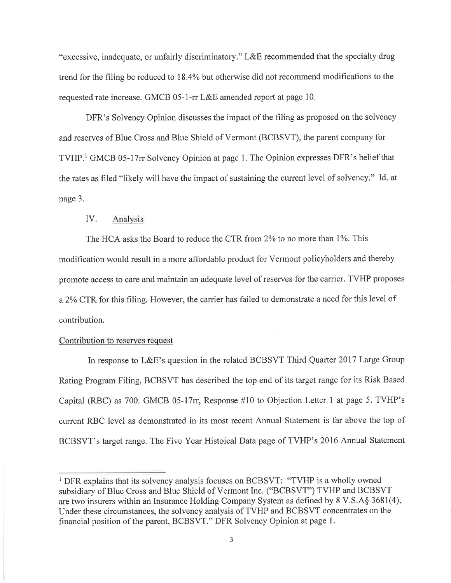"excessive, inadequate, or unfairly discriminatory." L&E recommended that the specialty drug trend for the filing be reduced to l8.4Yo but otherwise did not recommend modifìcations to the requested rate increase. GMCB 05-1-rr L&E amended report at page 10.

DFR's Solvency Opinion discusses the impact of the filing as proposed on the solvency and reserves of Blue Cross and Blue Shield of Vermont (BCBSVT), the parent company for TVHP.<sup>1</sup> GMCB 05-17rr Solvency Opinion at page 1. The Opinion expresses DFR's belief that the rates as filed "likely will have the impact of sustaining the current level of solvency." Id. at page 3.

## IV. Analysis

The HCA asks the Board to reduce the CTR from 2% to no more than 1%. This modification would result in a more affordable product for Vermont policyholders and thereby promote access to care and maintain an adequate level of reserves for the carrier. TVHP proposes a 2% CTR for this filing. However, the carrier has failed to demonstrate a need for this level of contribution.

### Contribution to reserves request

In response to L&E's question in the related BCBSVT Third Quarter 2017 Large Group Rating Program Filing, BCBSVT has described the top end of its target range for its Risk Based Capital (RBC) as 700. GMCB 05-17rr, Response #10 to Objection Letter 1 at page 5. TVHP's current RBC level as demonstrated in its most recent Annual Statement is far above the top of BCBSVT's target range. The Five Year Histoical Data page of TVHP's 2016 Annual Statement

<sup>&</sup>lt;sup>1</sup> DFR explains that its solvency analysis focuses on BCBSVT: "TVHP is a wholly owned subsidiary of Blue Cross and Blue Shield of Vermont Inc. ("BCBSVT") TVHP and BCBSVT are two insurers within an Insurance Holding Company System as defined by  $8 \text{ V.S.A} \$  3681(4). Under these circumstances, the solvency analysis of TVHP and BCBSVT concentrates on the financial position of the parent, BCBSVT." DFR Solvency Opinion at page 1.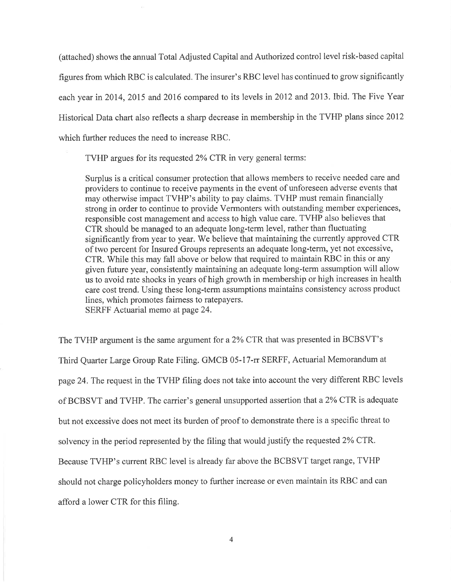(attached) shows the annual Total Adjusted Capital and Authorized control level risk-based capital figures from which RBC is calculated. The insurer's RBC level has continued to grow signifìcantly each year in 2014, 2015 and 2016 compared to its levels in 2012 and 2013. Ibid. The Five Year Historical Data chart also reflects a sharp decrease in membership in the TVHP plans since 2012 which further reduces the need to increase RBC.

TVHP argues for its requested 2% CTR in very general terms:

Surplus is a critical consumer protection that allows members to receive needed care and providers to continue to receive payments in the event of unforeseen adverse events that may otherwise impact TVHP's ability to pay claims. TVHP must remain financially strong in order to continue to provide Vermonters with outstanding member experiences, responsible cost management and access to high value care. TVHP also believes that CTR should be managed to an adequate long-term level, rather than fluctuating significantly from year to year. We believe that maintaining the currently approved CTR of two percent for Insured Groups represents an adequate long-term, yet not excessive, CTR. While this may fall above or below that required to maintain RBC in this or any given future year, consistently maintaining an adequate long-term assumption will allow us to avoid rate shocks in years of high growth in membership or high increases in health care cost trend. Using these long-term assumptions maintains consistency across product lines, which promotes fairness to ratepayers. SERFF Actuarial memo at page 24.

The TVHP argument is the same argument for a 2% CTR that was presented in BCBSVT's Third Quarter Large Group Rate Filing. GMCB 05-17-rr SERFF, Actuarial Memorandum at page 24. The request in the TVHP filing does not take into account the very different RBC levels of BCBSVT and TVHP. The carrier's general unsupported assertion that a 2% CTR is adequate but not excessive does not meet its burden of proof to demonstrate there is a specific threat to solvency in the period represented by the filing that would justify the requested2Yo CTR. Because TVHP's current RBC level is already far above the BCBSVT target range, TVHP should not charge policyholders money to further increase or even maintain its RBC and can afford a lower CTR for this filing.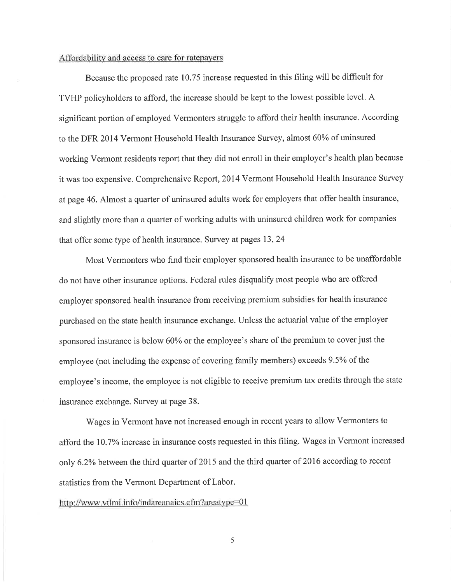### Affordabilitv and access to care for ratepayers

Because the proposed rate 10.75 increase requested in this filing will be diffrcult for TVHP policyholders to afford, the increase should be kept to the lowest possible level. A significant portion of employed Vermonters struggle to afford their health insurance. According to the DFR 2014 Vermont Household Health Insurance Survey, almost 60% of uninsured working Vermont residents report that they did not enroll in their employer's health plan because it was too expensive. Comprehensive Report, 2014 Vermont Household Health Insurance Survey at page 46. Almost a quarter of uninsured adults work for employers that offer health insurance, and slightly more than a quarter of working adults with uninsured children work for companies that offer some type of health insurance. Survey at pages 13,24

Most Vermonters who find their employer sponsored health insurance to be unaffordable do not have other insurance options. Federal rules disqualify most people who are offered employer sponsored health insurance from receiving premium subsidies for health insurance purchased on the state health insurance exchange. Unless the actuarial value of the employer sponsored insurance is below 60% or the employee's share of the premium to cover just the employee (not including the expense of covering family members) exceeds 9.5% of the employee's income, the employee is not eligible to receive premium tax credits through the state insurance exchange. Survey at page 38.

Wages in Vermont have not increased enough in recent years to allow Vermonters to afford the 10.7% increase in insurance costs requested in this filing. Wages in Vermont increased only 6.2% between the third quarter of 2015 and the third quarter of 2016 according to recent statistics from the Vermont Department of Labor.

#### http://www.vtlmi.info/indareanaics.cfm?areatype=01

5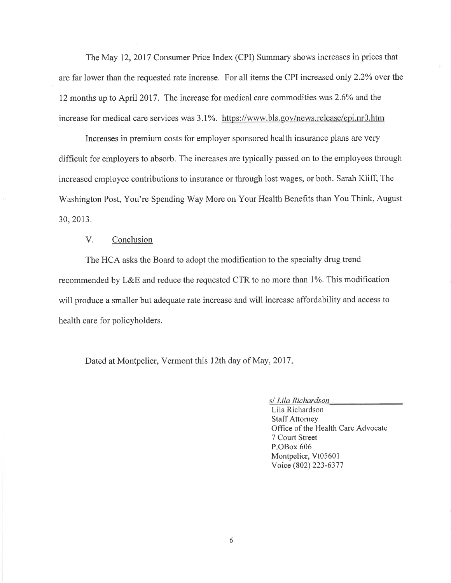The May 12,2017 Consumer Price Index (CPD Summary shows increases in prices that are far lower than the requested rate increase. For all items the CPI increased only 2.2% over the 12 months up to April 2017. The increase for medical care commodities was 2.6% and the increase for medical care services was 3.1%. https://www.bls.gov/news.release/cpi.nr0.htm

Increases in premium costs for employer sponsored health insurance plans are very difficult for employers to absorb. The increases are typically passed on to the employees through increased employee contributions to insurance or through lost wages, or both. Sarah Kliff, The Washington Post, You're Spending Way More on Your Health Benefits than You Think, August 30,20t3.

## V. Conclusion

The HCA asks the Board to adopt the modification to the specialty drug trend recommended by L&E and reduce the requested CTR to no more than 1%. This modification will produce a smaller but adequate rate increase and will increase affordability and access to health care for policyholders.

Dated at Montpelier, Vermont this 12th day of May, 2017.

s/ Lila Richardson

Lila Richardson Staff Attorney Office of the Health Care Advocate 7 Courl Street P.OBox 606 Montpelier, Vt0560l Voice (802) 223-6377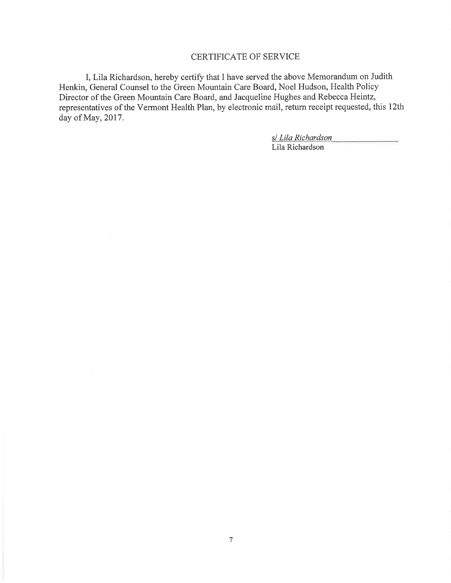# CERTIFICATE OF SERVICE

I, Lila Richardson, hereby certify that I have served the above Memorandum on Judith Henkin, General Counsel to the Green Mountain Care Board, Noel Hudson, Health Policy Director of the Green Mountain Care Board, and Jacqueline Hughes and Rebecca Heintz, representatives of the Vermont Health Plan, by electronic mail, return receipt requested, this l2th day of May, 2017.

> s/ Lila Richardson Lila Richardson